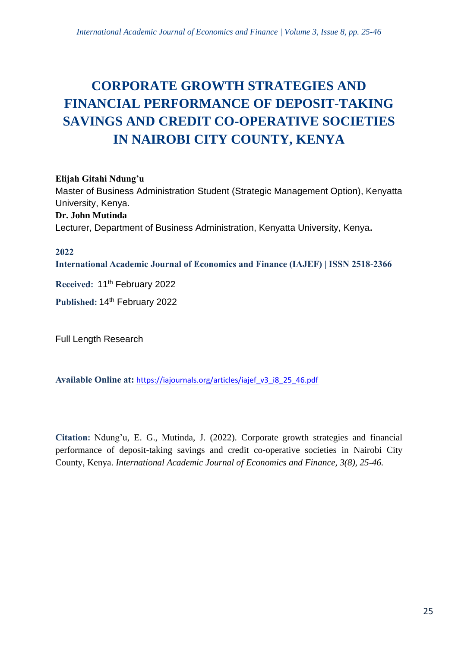# **CORPORATE GROWTH STRATEGIES AND FINANCIAL PERFORMANCE OF DEPOSIT-TAKING SAVINGS AND CREDIT CO-OPERATIVE SOCIETIES IN NAIROBI CITY COUNTY, KENYA**

# **Elijah Gitahi Ndung'u**

Master of Business Administration Student (Strategic Management Option), Kenyatta University, Kenya.

# **Dr. John Mutinda**

Lecturer, Department of Business Administration, Kenyatta University, Kenya**.**

#### **2022**

**International Academic Journal of Economics and Finance (IAJEF) | ISSN 2518-2366**

Received: 11<sup>th</sup> February 2022

**Published:** 14th February 2022

Full Length Research

**Available Online at:** [https://iajournals.org/articles/iajef\\_v3\\_i8\\_25\\_46.pdf](https://iajournals.org/articles/iajef_v3_i8_25_46.pdf)

**Citation:** Ndung'u, E. G., Mutinda, J. (2022). Corporate growth strategies and financial performance of deposit-taking savings and credit co-operative societies in Nairobi City County, Kenya. *International Academic Journal of Economics and Finance, 3(8), 25-46.*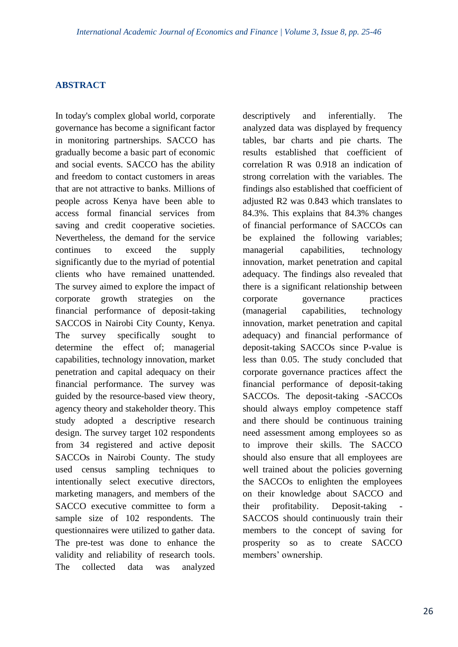#### **ABSTRACT**

In today's complex global world, corporate governance has become a significant factor in monitoring partnerships. SACCO has gradually become a basic part of economic and social events. SACCO has the ability and freedom to contact customers in areas that are not attractive to banks. Millions of people across Kenya have been able to access formal financial services from saving and credit cooperative societies. Nevertheless, the demand for the service continues to exceed the supply significantly due to the myriad of potential clients who have remained unattended. The survey aimed to explore the impact of corporate growth strategies on the financial performance of deposit-taking SACCOS in Nairobi City County, Kenya. The survey specifically sought to determine the effect of; managerial capabilities, technology innovation, market penetration and capital adequacy on their financial performance. The survey was guided by the resource-based view theory, agency theory and stakeholder theory. This study adopted a descriptive research design. The survey target 102 respondents from 34 registered and active deposit SACCOs in Nairobi County. The study used census sampling techniques to intentionally select executive directors, marketing managers, and members of the SACCO executive committee to form a sample size of 102 respondents. The questionnaires were utilized to gather data. The pre-test was done to enhance the validity and reliability of research tools. The collected data was analyzed descriptively and inferentially. The analyzed data was displayed by frequency tables, bar charts and pie charts. The results established that coefficient of correlation R was 0.918 an indication of strong correlation with the variables. The findings also established that coefficient of adjusted R2 was 0.843 which translates to 84.3%. This explains that 84.3% changes of financial performance of SACCOs can be explained the following variables; managerial capabilities, technology innovation, market penetration and capital adequacy. The findings also revealed that there is a significant relationship between corporate governance practices (managerial capabilities, technology innovation, market penetration and capital adequacy) and financial performance of deposit-taking SACCOs since P-value is less than 0.05. The study concluded that corporate governance practices affect the financial performance of deposit-taking SACCOs. The deposit-taking -SACCOs should always employ competence staff and there should be continuous training need assessment among employees so as to improve their skills. The SACCO should also ensure that all employees are well trained about the policies governing the SACCOs to enlighten the employees on their knowledge about SACCO and their profitability. Deposit-taking SACCOS should continuously train their members to the concept of saving for prosperity so as to create SACCO members' ownership.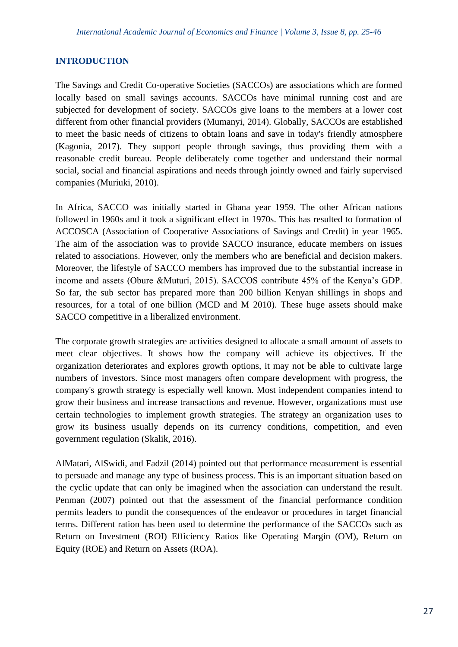# **INTRODUCTION**

The Savings and Credit Co-operative Societies (SACCOs) are associations which are formed locally based on small savings accounts. SACCOs have minimal running cost and are subjected for development of society. SACCOs give loans to the members at a lower cost different from other financial providers (Mumanyi, 2014). Globally, SACCOs are established to meet the basic needs of citizens to obtain loans and save in today's friendly atmosphere (Kagonia, 2017). They support people through savings, thus providing them with a reasonable credit bureau. People deliberately come together and understand their normal social, social and financial aspirations and needs through jointly owned and fairly supervised companies (Muriuki, 2010).

In Africa, SACCO was initially started in Ghana year 1959. The other African nations followed in 1960s and it took a significant effect in 1970s. This has resulted to formation of ACCOSCA (Association of Cooperative Associations of Savings and Credit) in year 1965. The aim of the association was to provide SACCO insurance, educate members on issues related to associations. However, only the members who are beneficial and decision makers. Moreover, the lifestyle of SACCO members has improved due to the substantial increase in income and assets (Obure &Muturi, 2015). SACCOS contribute 45% of the Kenya's GDP. So far, the sub sector has prepared more than 200 billion Kenyan shillings in shops and resources, for a total of one billion (MCD and M 2010). These huge assets should make SACCO competitive in a liberalized environment.

The corporate growth strategies are activities designed to allocate a small amount of assets to meet clear objectives. It shows how the company will achieve its objectives. If the organization deteriorates and explores growth options, it may not be able to cultivate large numbers of investors. Since most managers often compare development with progress, the company's growth strategy is especially well known. Most independent companies intend to grow their business and increase transactions and revenue. However, organizations must use certain technologies to implement growth strategies. The strategy an organization uses to grow its business usually depends on its currency conditions, competition, and even government regulation (Skalik, 2016).

AlMatari, AlSwidi, and Fadzil (2014) pointed out that performance measurement is essential to persuade and manage any type of business process. This is an important situation based on the cyclic update that can only be imagined when the association can understand the result. Penman (2007) pointed out that the assessment of the financial performance condition permits leaders to pundit the consequences of the endeavor or procedures in target financial terms. Different ration has been used to determine the performance of the SACCOs such as Return on Investment (ROI) Efficiency Ratios like Operating Margin (OM), Return on Equity (ROE) and Return on Assets (ROA).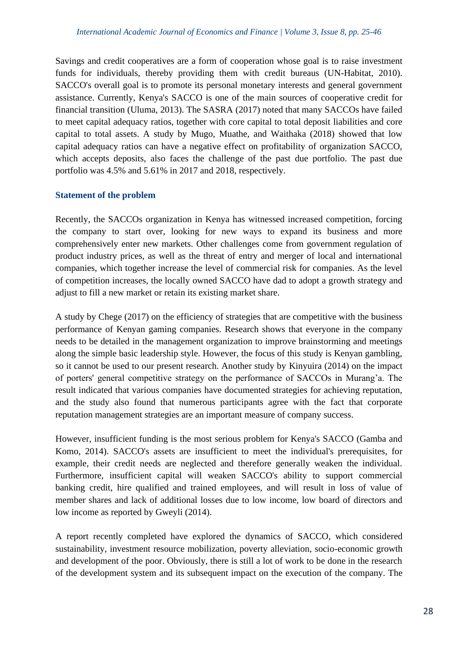Savings and credit cooperatives are a form of cooperation whose goal is to raise investment funds for individuals, thereby providing them with credit bureaus (UN-Habitat, 2010). SACCO's overall goal is to promote its personal monetary interests and general government assistance. Currently, Kenya's SACCO is one of the main sources of cooperative credit for financial transition (Uluma, 2013). The SASRA (2017) noted that many SACCOs have failed to meet capital adequacy ratios, together with core capital to total deposit liabilities and core capital to total assets. A study by Mugo, Muathe, and Waithaka (2018) showed that low capital adequacy ratios can have a negative effect on profitability of organization SACCO, which accepts deposits, also faces the challenge of the past due portfolio. The past due portfolio was 4.5% and 5.61% in 2017 and 2018, respectively.

# **Statement of the problem**

Recently, the SACCOs organization in Kenya has witnessed increased competition, forcing the company to start over, looking for new ways to expand its business and more comprehensively enter new markets. Other challenges come from government regulation of product industry prices, as well as the threat of entry and merger of local and international companies, which together increase the level of commercial risk for companies. As the level of competition increases, the locally owned SACCO have dad to adopt a growth strategy and adjust to fill a new market or retain its existing market share.

A study by Chege (2017) on the efficiency of strategies that are competitive with the business performance of Kenyan gaming companies. Research shows that everyone in the company needs to be detailed in the management organization to improve brainstorming and meetings along the simple basic leadership style. However, the focus of this study is Kenyan gambling, so it cannot be used to our present research. Another study by Kinyuira (2014) on the impact of porters' general competitive strategy on the performance of SACCOs in Murang'a. The result indicated that various companies have documented strategies for achieving reputation, and the study also found that numerous participants agree with the fact that corporate reputation management strategies are an important measure of company success.

However, insufficient funding is the most serious problem for Kenya's SACCO (Gamba and Komo, 2014). SACCO's assets are insufficient to meet the individual's prerequisites, for example, their credit needs are neglected and therefore generally weaken the individual. Furthermore, insufficient capital will weaken SACCO's ability to support commercial banking credit, hire qualified and trained employees, and will result in loss of value of member shares and lack of additional losses due to low income, low board of directors and low income as reported by Gweyli (2014).

A report recently completed have explored the dynamics of SACCO, which considered sustainability, investment resource mobilization, poverty alleviation, socio-economic growth and development of the poor. Obviously, there is still a lot of work to be done in the research of the development system and its subsequent impact on the execution of the company. The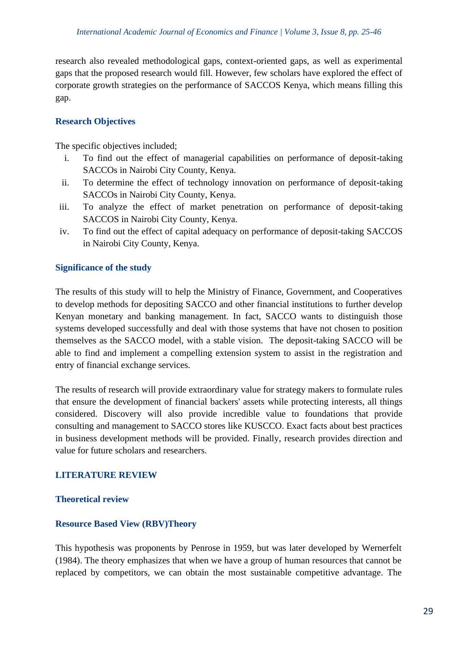research also revealed methodological gaps, context-oriented gaps, as well as experimental gaps that the proposed research would fill. However, few scholars have explored the effect of corporate growth strategies on the performance of SACCOS Kenya, which means filling this gap.

# **Research Objectives**

The specific objectives included;

- i. To find out the effect of managerial capabilities on performance of deposit-taking SACCOs in Nairobi City County, Kenya.
- ii. To determine the effect of technology innovation on performance of deposit-taking SACCOs in Nairobi City County, Kenya.
- iii. To analyze the effect of market penetration on performance of deposit-taking SACCOS in Nairobi City County, Kenya.
- iv. To find out the effect of capital adequacy on performance of deposit-taking SACCOS in Nairobi City County, Kenya.

## **Significance of the study**

The results of this study will to help the Ministry of Finance, Government, and Cooperatives to develop methods for depositing SACCO and other financial institutions to further develop Kenyan monetary and banking management. In fact, SACCO wants to distinguish those systems developed successfully and deal with those systems that have not chosen to position themselves as the SACCO model, with a stable vision. The deposit-taking SACCO will be able to find and implement a compelling extension system to assist in the registration and entry of financial exchange services.

The results of research will provide extraordinary value for strategy makers to formulate rules that ensure the development of financial backers' assets while protecting interests, all things considered. Discovery will also provide incredible value to foundations that provide consulting and management to SACCO stores like KUSCCO. Exact facts about best practices in business development methods will be provided. Finally, research provides direction and value for future scholars and researchers.

#### **LITERATURE REVIEW**

#### **Theoretical review**

#### **Resource Based View (RBV)Theory**

This hypothesis was proponents by Penrose in 1959, but was later developed by Wernerfelt (1984). The theory emphasizes that when we have a group of human resources that cannot be replaced by competitors, we can obtain the most sustainable competitive advantage. The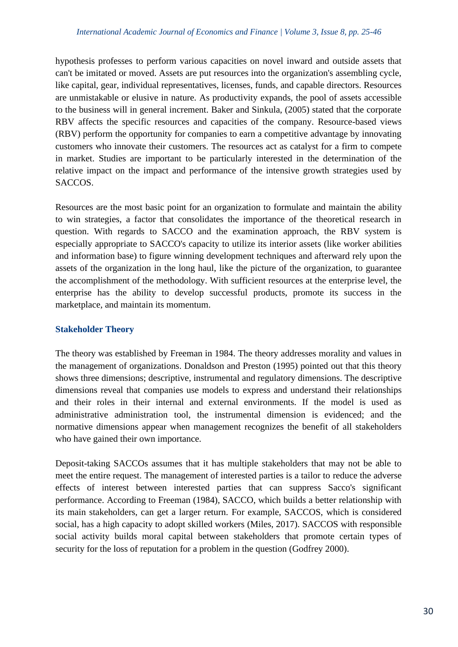#### *International Academic Journal of Economics and Finance | Volume 3, Issue 8, pp. 25-46*

hypothesis professes to perform various capacities on novel inward and outside assets that can't be imitated or moved. Assets are put resources into the organization's assembling cycle, like capital, gear, individual representatives, licenses, funds, and capable directors. Resources are unmistakable or elusive in nature. As productivity expands, the pool of assets accessible to the business will in general increment. Baker and Sinkula, (2005) stated that the corporate RBV affects the specific resources and capacities of the company. Resource-based views (RBV) perform the opportunity for companies to earn a competitive advantage by innovating customers who innovate their customers. The resources act as catalyst for a firm to compete in market. Studies are important to be particularly interested in the determination of the relative impact on the impact and performance of the intensive growth strategies used by SACCOS.

Resources are the most basic point for an organization to formulate and maintain the ability to win strategies, a factor that consolidates the importance of the theoretical research in question. With regards to SACCO and the examination approach, the RBV system is especially appropriate to SACCO's capacity to utilize its interior assets (like worker abilities and information base) to figure winning development techniques and afterward rely upon the assets of the organization in the long haul, like the picture of the organization, to guarantee the accomplishment of the methodology. With sufficient resources at the enterprise level, the enterprise has the ability to develop successful products, promote its success in the marketplace, and maintain its momentum.

#### **Stakeholder Theory**

The theory was established by Freeman in 1984. The theory addresses morality and values in the management of organizations. Donaldson and Preston (1995) pointed out that this theory shows three dimensions; descriptive, instrumental and regulatory dimensions. The descriptive dimensions reveal that companies use models to express and understand their relationships and their roles in their internal and external environments. If the model is used as administrative administration tool, the instrumental dimension is evidenced; and the normative dimensions appear when management recognizes the benefit of all stakeholders who have gained their own importance.

Deposit-taking SACCOs assumes that it has multiple stakeholders that may not be able to meet the entire request. The management of interested parties is a tailor to reduce the adverse effects of interest between interested parties that can suppress Sacco's significant performance. According to Freeman (1984), SACCO, which builds a better relationship with its main stakeholders, can get a larger return. For example, SACCOS, which is considered social, has a high capacity to adopt skilled workers (Miles, 2017). SACCOS with responsible social activity builds moral capital between stakeholders that promote certain types of security for the loss of reputation for a problem in the question (Godfrey 2000).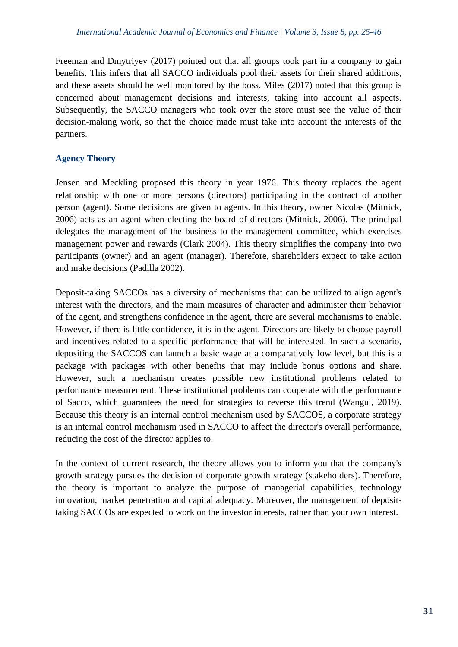Freeman and Dmytriyev (2017) pointed out that all groups took part in a company to gain benefits. This infers that all SACCO individuals pool their assets for their shared additions, and these assets should be well monitored by the boss. Miles (2017) noted that this group is concerned about management decisions and interests, taking into account all aspects. Subsequently, the SACCO managers who took over the store must see the value of their decision-making work, so that the choice made must take into account the interests of the partners.

# **Agency Theory**

Jensen and Meckling proposed this theory in year 1976. This theory replaces the agent relationship with one or more persons (directors) participating in the contract of another person (agent). Some decisions are given to agents. In this theory, owner Nicolas (Mitnick, 2006) acts as an agent when electing the board of directors (Mitnick, 2006). The principal delegates the management of the business to the management committee, which exercises management power and rewards (Clark 2004). This theory simplifies the company into two participants (owner) and an agent (manager). Therefore, shareholders expect to take action and make decisions (Padilla 2002).

Deposit-taking SACCOs has a diversity of mechanisms that can be utilized to align agent's interest with the directors, and the main measures of character and administer their behavior of the agent, and strengthens confidence in the agent, there are several mechanisms to enable. However, if there is little confidence, it is in the agent. Directors are likely to choose payroll and incentives related to a specific performance that will be interested. In such a scenario, depositing the SACCOS can launch a basic wage at a comparatively low level, but this is a package with packages with other benefits that may include bonus options and share. However, such a mechanism creates possible new institutional problems related to performance measurement. These institutional problems can cooperate with the performance of Sacco, which guarantees the need for strategies to reverse this trend (Wangui, 2019). Because this theory is an internal control mechanism used by SACCOS, a corporate strategy is an internal control mechanism used in SACCO to affect the director's overall performance, reducing the cost of the director applies to.

In the context of current research, the theory allows you to inform you that the company's growth strategy pursues the decision of corporate growth strategy (stakeholders). Therefore, the theory is important to analyze the purpose of managerial capabilities, technology innovation, market penetration and capital adequacy. Moreover, the management of deposittaking SACCOs are expected to work on the investor interests, rather than your own interest.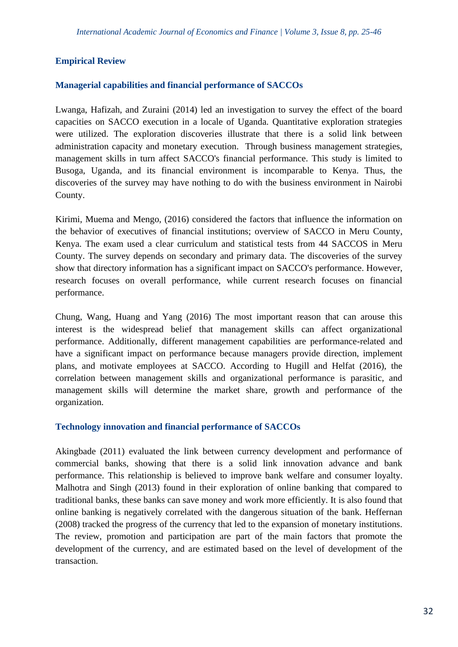# **Empirical Review**

## **Managerial capabilities and financial performance of SACCOs**

Lwanga, Hafizah, and Zuraini (2014) led an investigation to survey the effect of the board capacities on SACCO execution in a locale of Uganda. Quantitative exploration strategies were utilized. The exploration discoveries illustrate that there is a solid link between administration capacity and monetary execution. Through business management strategies, management skills in turn affect SACCO's financial performance. This study is limited to Busoga, Uganda, and its financial environment is incomparable to Kenya. Thus, the discoveries of the survey may have nothing to do with the business environment in Nairobi County.

Kirimi, Muema and Mengo, (2016) considered the factors that influence the information on the behavior of executives of financial institutions; overview of SACCO in Meru County, Kenya. The exam used a clear curriculum and statistical tests from 44 SACCOS in Meru County. The survey depends on secondary and primary data. The discoveries of the survey show that directory information has a significant impact on SACCO's performance. However, research focuses on overall performance, while current research focuses on financial performance.

Chung, Wang, Huang and Yang (2016) The most important reason that can arouse this interest is the widespread belief that management skills can affect organizational performance. Additionally, different management capabilities are performance-related and have a significant impact on performance because managers provide direction, implement plans, and motivate employees at SACCO. According to Hugill and Helfat (2016), the correlation between management skills and organizational performance is parasitic, and management skills will determine the market share, growth and performance of the organization.

#### **Technology innovation and financial performance of SACCOs**

Akingbade (2011) evaluated the link between currency development and performance of commercial banks, showing that there is a solid link innovation advance and bank performance. This relationship is believed to improve bank welfare and consumer loyalty. Malhotra and Singh (2013) found in their exploration of online banking that compared to traditional banks, these banks can save money and work more efficiently. It is also found that online banking is negatively correlated with the dangerous situation of the bank. Heffernan (2008) tracked the progress of the currency that led to the expansion of monetary institutions. The review, promotion and participation are part of the main factors that promote the development of the currency, and are estimated based on the level of development of the transaction.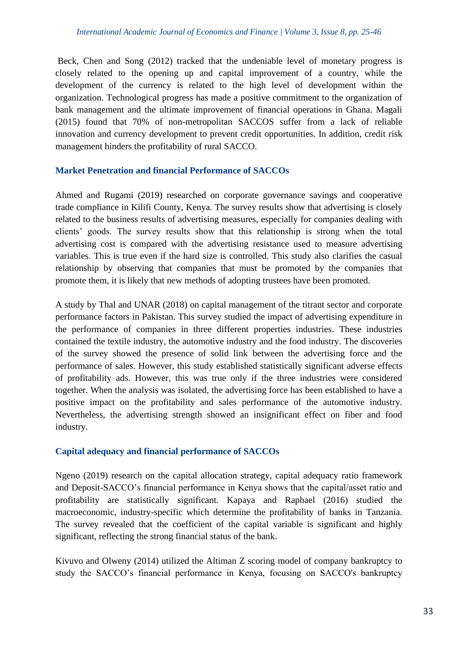Beck, Chen and Song (2012) tracked that the undeniable level of monetary progress is closely related to the opening up and capital improvement of a country, while the development of the currency is related to the high level of development within the organization. Technological progress has made a positive commitment to the organization of bank management and the ultimate improvement of financial operations in Ghana. Magali (2015) found that 70% of non-metropolitan SACCOS suffer from a lack of reliable innovation and currency development to prevent credit opportunities. In addition, credit risk management hinders the profitability of rural SACCO.

# **Market Penetration and financial Performance of SACCOs**

Ahmed and Rugami (2019) researched on corporate governance savings and cooperative trade compliance in Kilifi County, Kenya. The survey results show that advertising is closely related to the business results of advertising measures, especially for companies dealing with clients' goods. The survey results show that this relationship is strong when the total advertising cost is compared with the advertising resistance used to measure advertising variables. This is true even if the hard size is controlled. This study also clarifies the casual relationship by observing that companies that must be promoted by the companies that promote them, it is likely that new methods of adopting trustees have been promoted.

A study by Thal and UNAR (2018) on capital management of the titrant sector and corporate performance factors in Pakistan. This survey studied the impact of advertising expenditure in the performance of companies in three different properties industries. These industries contained the textile industry, the automotive industry and the food industry. The discoveries of the survey showed the presence of solid link between the advertising force and the performance of sales. However, this study established statistically significant adverse effects of profitability ads. However, this was true only if the three industries were considered together. When the analysis was isolated, the advertising force has been established to have a positive impact on the profitability and sales performance of the automotive industry. Nevertheless, the advertising strength showed an insignificant effect on fiber and food industry.

# **Capital adequacy and financial performance of SACCOs**

Ngeno (2019) research on the capital allocation strategy, capital adequacy ratio framework and Deposit-SACCO's financial performance in Kenya shows that the capital/asset ratio and profitability are statistically significant. Kapaya and Raphael (2016) studied the macroeconomic, industry-specific which determine the profitability of banks in Tanzania. The survey revealed that the coefficient of the capital variable is significant and highly significant, reflecting the strong financial status of the bank.

Kivuvo and Olweny (2014) utilized the Altiman Z scoring model of company bankruptcy to study the SACCO's financial performance in Kenya, focusing on SACCO's bankruptcy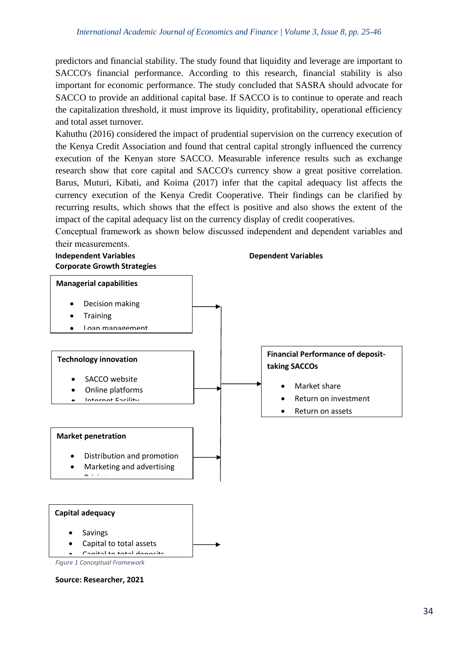predictors and financial stability. The study found that liquidity and leverage are important to SACCO's financial performance. According to this research, financial stability is also important for economic performance. The study concluded that SASRA should advocate for SACCO to provide an additional capital base. If SACCO is to continue to operate and reach the capitalization threshold, it must improve its liquidity, profitability, operational efficiency and total asset turnover.

Kahuthu (2016) considered the impact of prudential supervision on the currency execution of the Kenya Credit Association and found that central capital strongly influenced the currency execution of the Kenyan store SACCO. Measurable inference results such as exchange research show that core capital and SACCO's currency show a great positive correlation. Barus, Muturi, Kibati, and Koima (2017) infer that the capital adequacy list affects the currency execution of the Kenya Credit Cooperative. Their findings can be clarified by recurring results, which shows that the effect is positive and also shows the extent of the impact of the capital adequacy list on the currency display of credit cooperatives.

Conceptual framework as shown below discussed independent and dependent variables and their measurements.



**Source: Researcher, 2021**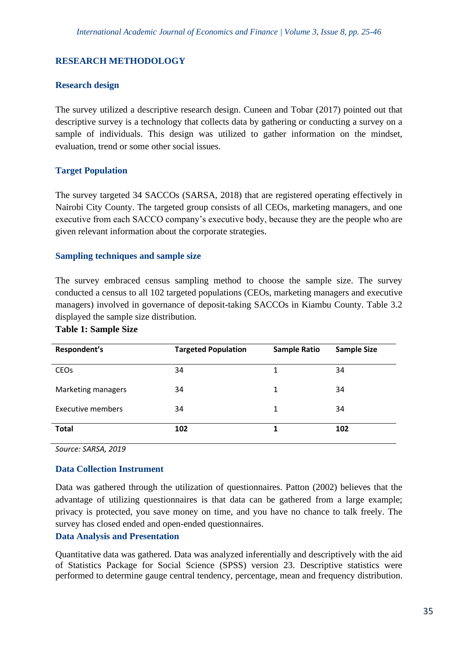# **RESEARCH METHODOLOGY**

## **Research design**

The survey utilized a descriptive research design. Cuneen and Tobar (2017) pointed out that descriptive survey is a technology that collects data by gathering or conducting a survey on a sample of individuals. This design was utilized to gather information on the mindset, evaluation, trend or some other social issues.

# **Target Population**

The survey targeted 34 SACCOs (SARSA, 2018) that are registered operating effectively in Nairobi City County. The targeted group consists of all CEOs, marketing managers, and one executive from each SACCO company's executive body, because they are the people who are given relevant information about the corporate strategies.

## **Sampling techniques and sample size**

The survey embraced census sampling method to choose the sample size. The survey conducted a census to all 102 targeted populations (CEOs, marketing managers and executive managers) involved in governance of deposit-taking SACCOs in Kiambu County. Table 3.2 displayed the sample size distribution.

#### **Table 1: Sample Size**

| Respondent's           | <b>Targeted Population</b> | <b>Sample Ratio</b> | <b>Sample Size</b> |
|------------------------|----------------------------|---------------------|--------------------|
| <b>CEO<sub>s</sub></b> | 34                         | 1                   | 34                 |
| Marketing managers     | 34                         | 1                   | 34                 |
| Executive members      | 34                         | 1                   | 34                 |
| <b>Total</b>           | 102                        |                     | 102                |

*Source: SARSA, 2019*

#### **Data Collection Instrument**

Data was gathered through the utilization of questionnaires. Patton (2002) believes that the advantage of utilizing questionnaires is that data can be gathered from a large example; privacy is protected, you save money on time, and you have no chance to talk freely. The survey has closed ended and open-ended questionnaires.

### **Data Analysis and Presentation**

Quantitative data was gathered. Data was analyzed inferentially and descriptively with the aid of Statistics Package for Social Science (SPSS) version 23. Descriptive statistics were performed to determine gauge central tendency, percentage, mean and frequency distribution.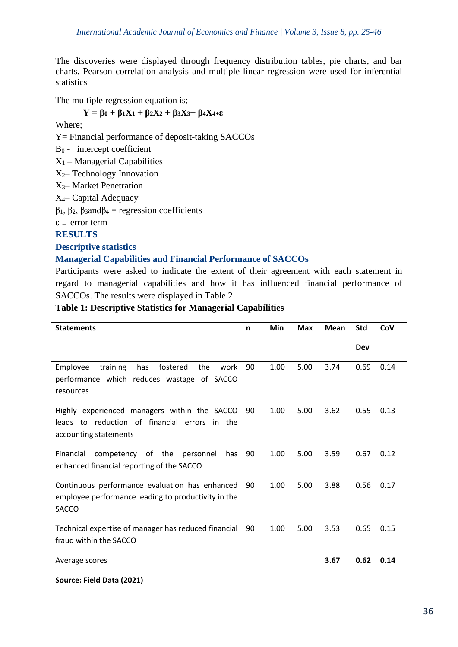The discoveries were displayed through frequency distribution tables, pie charts, and bar charts. Pearson correlation analysis and multiple linear regression were used for inferential statistics

The multiple regression equation is;

# $Y = \beta_0 + \beta_1 X_1 + \beta_2 X_2 + \beta_3 X_3 + \beta_4 X_4 + \epsilon$

Where;

Y= Financial performance of deposit-taking SACCOs

 $B_0$  - intercept coefficient

 $X_1$  – Managerial Capabilities

 $X_2$ – Technology Innovation

X3– Market Penetration

X4– Capital Adequacy

β1, β2, β3andβ<sup>4</sup> = regression coefficients

 $\varepsilon$ <sub>i</sub> – error term

**RESULTS** 

**Descriptive statistics**

# **Managerial Capabilities and Financial Performance of SACCOs**

Participants were asked to indicate the extent of their agreement with each statement in regard to managerial capabilities and how it has influenced financial performance of SACCOs. The results were displayed in Table 2

# **Table 1: Descriptive Statistics for Managerial Capabilities**

| <b>Statements</b>                                                                                                         | n  | Min  | <b>Max</b> | Mean | <b>Std</b> | CoV  |
|---------------------------------------------------------------------------------------------------------------------------|----|------|------------|------|------------|------|
|                                                                                                                           |    |      |            |      | Dev        |      |
| Employee<br>training<br>fostered<br>the<br>work<br>has<br>performance which reduces wastage of SACCO<br>resources         | 90 | 1.00 | 5.00       | 3.74 | 0.69       | 0.14 |
| Highly experienced managers within the SACCO<br>leads to reduction of financial errors<br>in the<br>accounting statements | 90 | 1.00 | 5.00       | 3.62 | 0.55       | 0.13 |
| Financial<br>competency of the<br>personnel<br>has<br>enhanced financial reporting of the SACCO                           | 90 | 1.00 | 5.00       | 3.59 | 0.67       | 0.12 |
| Continuous performance evaluation has enhanced<br>employee performance leading to productivity in the<br><b>SACCO</b>     | 90 | 1.00 | 5.00       | 3.88 | 0.56       | 0.17 |
| Technical expertise of manager has reduced financial<br>fraud within the SACCO                                            | 90 | 1.00 | 5.00       | 3.53 | 0.65       | 0.15 |
| Average scores                                                                                                            |    |      |            | 3.67 | 0.62       | 0.14 |

**Source: Field Data (2021)**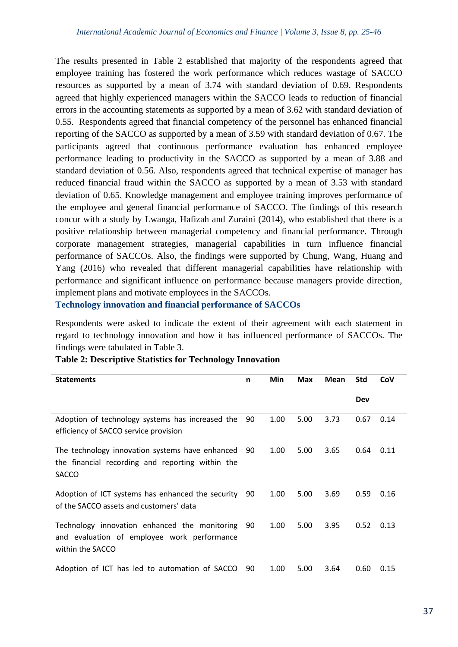The results presented in Table 2 established that majority of the respondents agreed that employee training has fostered the work performance which reduces wastage of SACCO resources as supported by a mean of 3.74 with standard deviation of 0.69. Respondents agreed that highly experienced managers within the SACCO leads to reduction of financial errors in the accounting statements as supported by a mean of 3.62 with standard deviation of 0.55. Respondents agreed that financial competency of the personnel has enhanced financial reporting of the SACCO as supported by a mean of 3.59 with standard deviation of 0.67. The participants agreed that continuous performance evaluation has enhanced employee performance leading to productivity in the SACCO as supported by a mean of 3.88 and standard deviation of 0.56. Also, respondents agreed that technical expertise of manager has reduced financial fraud within the SACCO as supported by a mean of 3.53 with standard deviation of 0.65. Knowledge management and employee training improves performance of the employee and general financial performance of SACCO. The findings of this research concur with a study by Lwanga, Hafizah and Zuraini (2014), who established that there is a positive relationship between managerial competency and financial performance. Through corporate management strategies, managerial capabilities in turn influence financial performance of SACCOs. Also, the findings were supported by Chung, Wang, Huang and Yang (2016) who revealed that different managerial capabilities have relationship with performance and significant influence on performance because managers provide direction, implement plans and motivate employees in the SACCOs.

**Technology innovation and financial performance of SACCOs**

Respondents were asked to indicate the extent of their agreement with each statement in regard to technology innovation and how it has influenced performance of SACCOs. The findings were tabulated in Table 3.

| <b>Statements</b>                                                                                                   | n   | Min  | <b>Max</b> | Mean | <b>Std</b> | CoV  |
|---------------------------------------------------------------------------------------------------------------------|-----|------|------------|------|------------|------|
|                                                                                                                     |     |      |            |      | <b>Dev</b> |      |
| Adoption of technology systems has increased the<br>efficiency of SACCO service provision                           | 90  | 1.00 | 5.00       | 3.73 | 0.67       | 0.14 |
| The technology innovation systems have enhanced<br>the financial recording and reporting within the<br><b>SACCO</b> | -90 | 1.00 | 5.00       | 3.65 | 0.64       | 0.11 |
| Adoption of ICT systems has enhanced the security<br>of the SACCO assets and customers' data                        | 90  | 1.00 | 5.00       | 3.69 | 0.59       | 0.16 |
| Technology innovation enhanced the monitoring<br>and evaluation of employee work performance<br>within the SACCO    | -90 | 1.00 | 5.00       | 3.95 | 0.52       | 0.13 |
| Adoption of ICT has led to automation of SACCO                                                                      | 90  | 1.00 | 5.00       | 3.64 | 0.60       | 0.15 |

# **Table 2: Descriptive Statistics for Technology Innovation**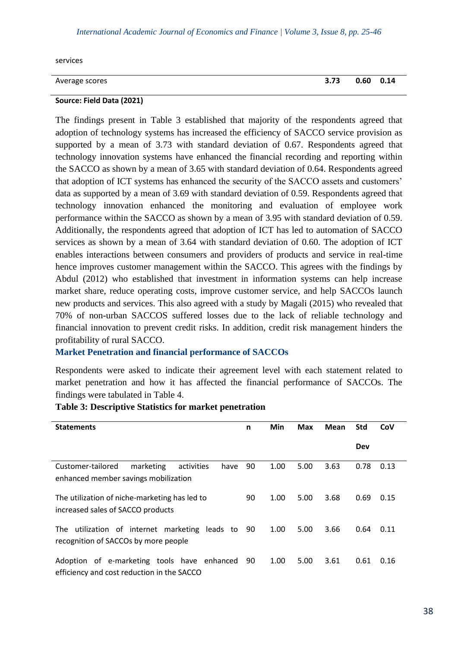#### *International Academic Journal of Economics and Finance | Volume 3, Issue 8, pp. 25-46*

services

| Average scores | 3.73  0.60  0.14 |  |
|----------------|------------------|--|

#### **Source: Field Data (2021)**

The findings present in Table 3 established that majority of the respondents agreed that adoption of technology systems has increased the efficiency of SACCO service provision as supported by a mean of 3.73 with standard deviation of 0.67. Respondents agreed that technology innovation systems have enhanced the financial recording and reporting within the SACCO as shown by a mean of 3.65 with standard deviation of 0.64. Respondents agreed that adoption of ICT systems has enhanced the security of the SACCO assets and customers' data as supported by a mean of 3.69 with standard deviation of 0.59. Respondents agreed that technology innovation enhanced the monitoring and evaluation of employee work performance within the SACCO as shown by a mean of 3.95 with standard deviation of 0.59. Additionally, the respondents agreed that adoption of ICT has led to automation of SACCO services as shown by a mean of 3.64 with standard deviation of 0.60. The adoption of ICT enables interactions between consumers and providers of products and service in real-time hence improves customer management within the SACCO. This agrees with the findings by Abdul (2012) who established that investment in information systems can help increase market share, reduce operating costs, improve customer service, and help SACCOs launch new products and services. This also agreed with a study by Magali (2015) who revealed that 70% of non-urban SACCOS suffered losses due to the lack of reliable technology and financial innovation to prevent credit risks. In addition, credit risk management hinders the profitability of rural SACCO.

#### **Market Penetration and financial performance of SACCOs**

Respondents were asked to indicate their agreement level with each statement related to market penetration and how it has affected the financial performance of SACCOs. The findings were tabulated in Table 4.

| <b>Statements</b>                                    | n    | Min  | <b>Max</b> | Mean | <b>Std</b> | CoV  |
|------------------------------------------------------|------|------|------------|------|------------|------|
|                                                      |      |      |            |      | Dev        |      |
| Customer-tailored<br>marketing<br>have<br>activities | 90   | 1.00 | 5.00       | 3.63 | 0.78       | 0.13 |
| enhanced member savings mobilization                 |      |      |            |      |            |      |
| The utilization of niche-marketing has led to        | 90   | 1.00 | 5.00       | 3.68 | 0.69       | 0.15 |
| increased sales of SACCO products                    |      |      |            |      |            |      |
| utilization of internet marketing leads to 90<br>The |      | 1.00 | 5.00       | 3.66 | 0.64       | 0.11 |
| recognition of SACCOs by more people                 |      |      |            |      |            |      |
| Adoption of e-marketing tools have enhanced          | - 90 | 1.00 | 5.00       | 3.61 | 0.61       | 0.16 |
| efficiency and cost reduction in the SACCO           |      |      |            |      |            |      |

#### **Table 3: Descriptive Statistics for market penetration**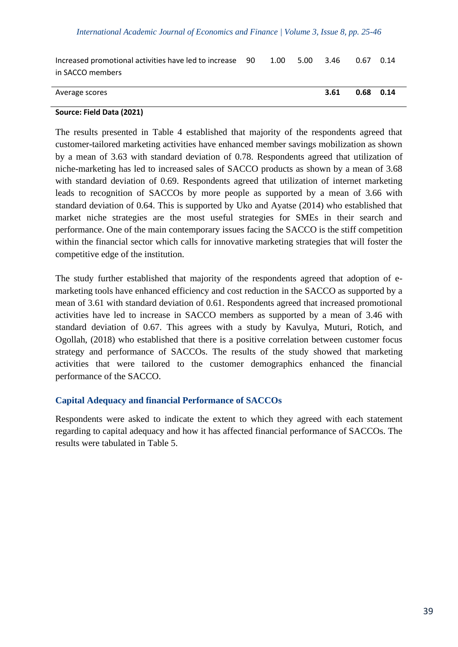| Increased promotional activities have led to increase 90 | 1.00 | 5.00 3.46 |      | 0.67        | 0.14 |
|----------------------------------------------------------|------|-----------|------|-------------|------|
| in SACCO members                                         |      |           |      |             |      |
|                                                          |      |           |      |             |      |
| Average scores                                           |      |           | 3.61 | $0.68$ 0.14 |      |

#### **Source: Field Data (2021)**

The results presented in Table 4 established that majority of the respondents agreed that customer-tailored marketing activities have enhanced member savings mobilization as shown by a mean of 3.63 with standard deviation of 0.78. Respondents agreed that utilization of niche-marketing has led to increased sales of SACCO products as shown by a mean of 3.68 with standard deviation of 0.69. Respondents agreed that utilization of internet marketing leads to recognition of SACCOs by more people as supported by a mean of 3.66 with standard deviation of 0.64. This is supported by Uko and Ayatse (2014) who established that market niche strategies are the most useful strategies for SMEs in their search and performance. One of the main contemporary issues facing the SACCO is the stiff competition within the financial sector which calls for innovative marketing strategies that will foster the competitive edge of the institution.

The study further established that majority of the respondents agreed that adoption of emarketing tools have enhanced efficiency and cost reduction in the SACCO as supported by a mean of 3.61 with standard deviation of 0.61. Respondents agreed that increased promotional activities have led to increase in SACCO members as supported by a mean of 3.46 with standard deviation of 0.67. This agrees with a study by Kavulya, Muturi, Rotich, and Ogollah, (2018) who established that there is a positive correlation between customer focus strategy and performance of SACCOs. The results of the study showed that marketing activities that were tailored to the customer demographics enhanced the financial performance of the SACCO.

#### **Capital Adequacy and financial Performance of SACCOs**

Respondents were asked to indicate the extent to which they agreed with each statement regarding to capital adequacy and how it has affected financial performance of SACCOs. The results were tabulated in Table 5.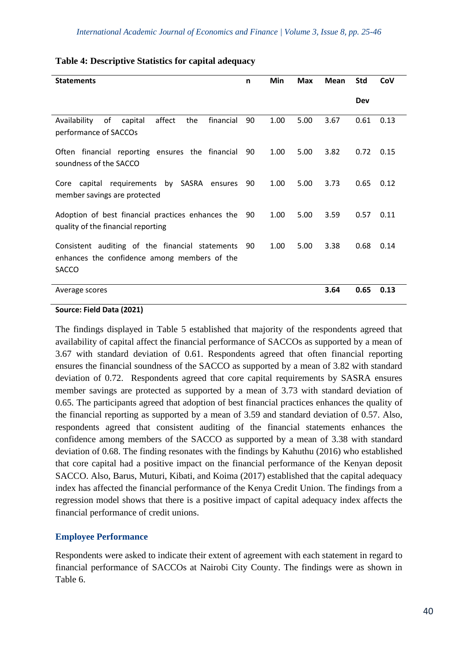| <b>Statements</b>                                                                                                       | n    | Min  | <b>Max</b> | <b>Mean</b> | <b>Std</b> | CoV  |
|-------------------------------------------------------------------------------------------------------------------------|------|------|------------|-------------|------------|------|
|                                                                                                                         |      |      |            |             | Dev        |      |
| of<br>Availability<br>affect<br>financial<br>capital<br>the<br>performance of SACCOs                                    | 90   | 1.00 | 5.00       | 3.67        | 0.61       | 0.13 |
| Often financial reporting ensures the financial<br>soundness of the SACCO                                               | 90   | 1.00 | 5.00       | 3.82        | 0.72       | 0.15 |
| Core capital requirements by SASRA ensures<br>member savings are protected                                              | 90   | 1.00 | 5.00       | 3.73        | 0.65       | 0.12 |
| Adoption of best financial practices enhances the 90<br>quality of the financial reporting                              |      | 1.00 | 5.00       | 3.59        | 0.57       | 0.11 |
| Consistent auditing of the financial statements<br>- 90<br>enhances the confidence among members of the<br><b>SACCO</b> | 5.00 | 3.38 | 0.68       | 0.14        |            |      |
| Average scores                                                                                                          |      |      |            | 3.64        | 0.65       | 0.13 |

## **Table 4: Descriptive Statistics for capital adequacy**

#### **Source: Field Data (2021)**

The findings displayed in Table 5 established that majority of the respondents agreed that availability of capital affect the financial performance of SACCOs as supported by a mean of 3.67 with standard deviation of 0.61. Respondents agreed that often financial reporting ensures the financial soundness of the SACCO as supported by a mean of 3.82 with standard deviation of 0.72. Respondents agreed that core capital requirements by SASRA ensures member savings are protected as supported by a mean of 3.73 with standard deviation of 0.65. The participants agreed that adoption of best financial practices enhances the quality of the financial reporting as supported by a mean of 3.59 and standard deviation of 0.57. Also, respondents agreed that consistent auditing of the financial statements enhances the confidence among members of the SACCO as supported by a mean of 3.38 with standard deviation of 0.68. The finding resonates with the findings by Kahuthu (2016) who established that core capital had a positive impact on the financial performance of the Kenyan deposit SACCO. Also, Barus, Muturi, Kibati, and Koima (2017) established that the capital adequacy index has affected the financial performance of the Kenya Credit Union. The findings from a regression model shows that there is a positive impact of capital adequacy index affects the financial performance of credit unions.

# **Employee Performance**

Respondents were asked to indicate their extent of agreement with each statement in regard to financial performance of SACCOs at Nairobi City County. The findings were as shown in Table 6.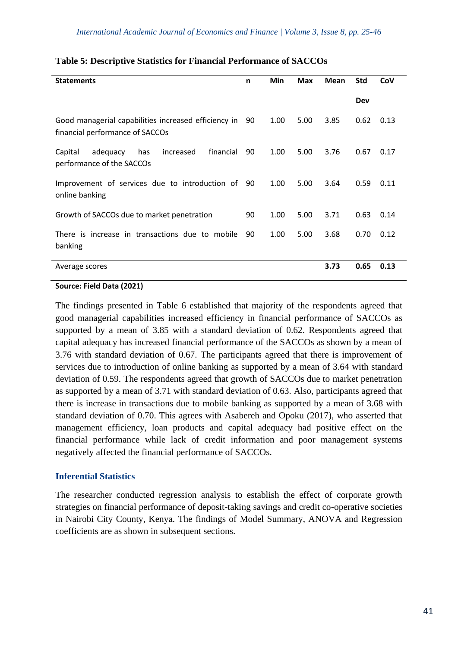| <b>Statements</b>                                                                       | n  | Min  | Max  | <b>Mean</b> | <b>Std</b> | CoV  |
|-----------------------------------------------------------------------------------------|----|------|------|-------------|------------|------|
|                                                                                         |    |      |      |             | Dev        |      |
| Good managerial capabilities increased efficiency in<br>financial performance of SACCOs | 90 | 1.00 | 5.00 | 3.85        | 0.62       | 0.13 |
| financial<br>increased<br>Capital<br>adequacy<br>has<br>performance of the SACCOs       | 90 | 1.00 | 5.00 | 3.76        | 0.67       | 0.17 |
| Improvement of services due to introduction of 90<br>online banking                     |    | 1.00 | 5.00 | 3.64        | 0.59       | 0.11 |
| Growth of SACCOs due to market penetration                                              | 90 | 1.00 | 5.00 | 3.71        | 0.63       | 0.14 |
| There is increase in transactions due to mobile<br>banking                              | 90 | 1.00 | 5.00 | 3.68        | 0.70       | 0.12 |
| Average scores                                                                          |    |      |      | 3.73        | 0.65       | 0.13 |

## **Table 5: Descriptive Statistics for Financial Performance of SACCOs**

#### **Source: Field Data (2021)**

The findings presented in Table 6 established that majority of the respondents agreed that good managerial capabilities increased efficiency in financial performance of SACCOs as supported by a mean of 3.85 with a standard deviation of 0.62. Respondents agreed that capital adequacy has increased financial performance of the SACCOs as shown by a mean of 3.76 with standard deviation of 0.67. The participants agreed that there is improvement of services due to introduction of online banking as supported by a mean of 3.64 with standard deviation of 0.59. The respondents agreed that growth of SACCOs due to market penetration as supported by a mean of 3.71 with standard deviation of 0.63. Also, participants agreed that there is increase in transactions due to mobile banking as supported by a mean of 3.68 with standard deviation of 0.70. This agrees with Asabereh and Opoku (2017), who asserted that management efficiency, loan products and capital adequacy had positive effect on the financial performance while lack of credit information and poor management systems negatively affected the financial performance of SACCOs.

# **Inferential Statistics**

The researcher conducted regression analysis to establish the effect of corporate growth strategies on financial performance of deposit-taking savings and credit co-operative societies in Nairobi City County, Kenya. The findings of Model Summary, ANOVA and Regression coefficients are as shown in subsequent sections.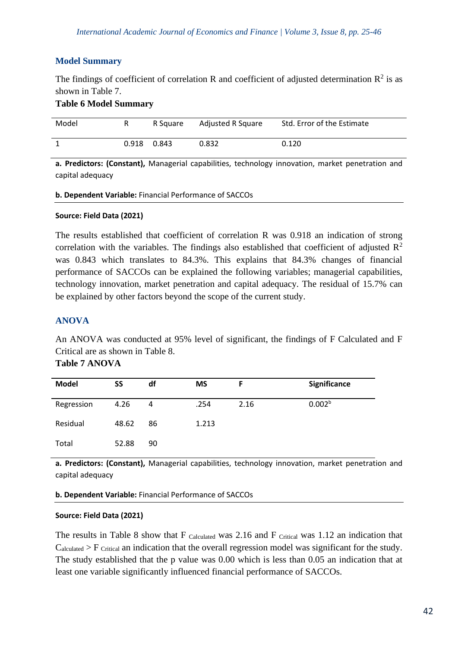# **Model Summary**

The findings of coefficient of correlation R and coefficient of adjusted determination  $\mathbb{R}^2$  is as shown in Table 7.

## **Table 6 Model Summary**

| Model |             | R Square | Adjusted R Square | Std. Error of the Estimate |
|-------|-------------|----------|-------------------|----------------------------|
|       | 0.918 0.843 |          | 0.832             | 0.120                      |

**a. Predictors: (Constant),** Managerial capabilities, technology innovation, market penetration and capital adequacy

**b. Dependent Variable:** Financial Performance of SACCOs

#### **Source: Field Data (2021)**

The results established that coefficient of correlation R was 0.918 an indication of strong correlation with the variables. The findings also established that coefficient of adjusted  $\mathbb{R}^2$ was 0.843 which translates to 84.3%. This explains that 84.3% changes of financial performance of SACCOs can be explained the following variables; managerial capabilities, technology innovation, market penetration and capital adequacy. The residual of 15.7% can be explained by other factors beyond the scope of the current study.

# **ANOVA**

An ANOVA was conducted at 95% level of significant, the findings of F Calculated and F Critical are as shown in Table 8.

| <b>Table 7 ANOVA</b> |
|----------------------|
|                      |

| <b>Model</b> | SS    | df | <b>MS</b> | F    | Significance       |
|--------------|-------|----|-----------|------|--------------------|
| Regression   | 4.26  | 4  | .254      | 2.16 | 0.002 <sup>b</sup> |
| Residual     | 48.62 | 86 | 1.213     |      |                    |
| Total        | 52.88 | 90 |           |      |                    |

**a. Predictors: (Constant),** Managerial capabilities, technology innovation, market penetration and capital adequacy

**b. Dependent Variable:** Financial Performance of SACCOs

#### **Source: Field Data (2021)**

The results in Table 8 show that F calculated was 2.16 and F critical was 1.12 an indication that  $C_{\text{alculated}}$  > F  $_{\text{Critical}}$  an indication that the overall regression model was significant for the study. The study established that the p value was 0.00 which is less than 0.05 an indication that at least one variable significantly influenced financial performance of SACCOs.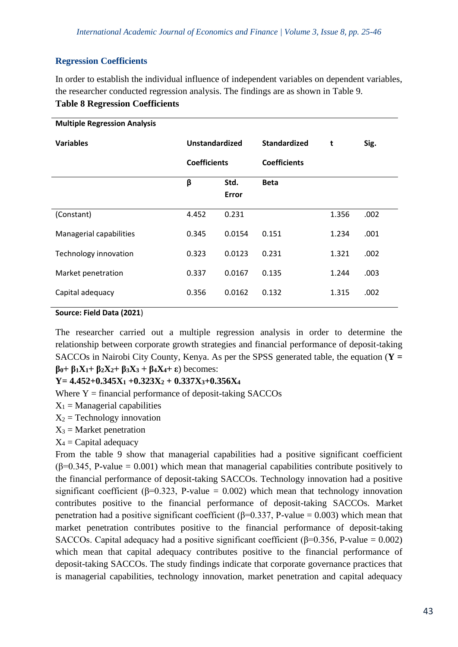# **Regression Coefficients**

In order to establish the individual influence of independent variables on dependent variables, the researcher conducted regression analysis. The findings are as shown in Table 9. **Table 8 Regression Coefficients**

| <b>Multiple Regression Analysis</b> |                     |                      |                     |       |      |
|-------------------------------------|---------------------|----------------------|---------------------|-------|------|
| <b>Variables</b>                    | Unstandardized      |                      | <b>Standardized</b> | t     | Sig. |
|                                     | <b>Coefficients</b> |                      | <b>Coefficients</b> |       |      |
|                                     | β                   | Std.<br><b>Error</b> | <b>Beta</b>         |       |      |
| (Constant)                          | 4.452               | 0.231                |                     | 1.356 | .002 |
| Managerial capabilities             | 0.345               | 0.0154               | 0.151               | 1.234 | .001 |
| Technology innovation               | 0.323               | 0.0123               | 0.231               | 1.321 | .002 |
| Market penetration                  | 0.337               | 0.0167               | 0.135               | 1.244 | .003 |
| Capital adequacy                    | 0.356               | 0.0162               | 0.132               | 1.315 | .002 |

**Source: Field Data (2021**)

The researcher carried out a multiple regression analysis in order to determine the relationship between corporate growth strategies and financial performance of deposit-taking SACCOs in Nairobi City County, Kenya. As per the SPSS generated table, the equation (**Y = β0+ β1X1+ β2X2+ β3X<sup>3</sup> + β4X4+ ε**) becomes:

**Y= 4.452+0.345X<sup>1</sup> +0.323X<sup>2</sup> + 0.337X3+0.356X<sup>4</sup>**

Where  $Y =$  financial performance of deposit-taking SACCOs

 $X_1$  = Managerial capabilities

 $X_2$  = Technology innovation

 $X_3$  = Market penetration

 $X_4$  = Capital adequacy

From the table 9 show that managerial capabilities had a positive significant coefficient  $(\beta=0.345, P-value = 0.001)$  which mean that managerial capabilities contribute positively to the financial performance of deposit-taking SACCOs. Technology innovation had a positive significant coefficient ( $\beta$ =0.323, P-value = 0.002) which mean that technology innovation contributes positive to the financial performance of deposit-taking SACCOs. Market penetration had a positive significant coefficient ( $\beta$ =0.337, P-value = 0.003) which mean that market penetration contributes positive to the financial performance of deposit-taking SACCOs. Capital adequacy had a positive significant coefficient ( $\beta$ =0.356, P-value = 0.002) which mean that capital adequacy contributes positive to the financial performance of deposit-taking SACCOs. The study findings indicate that corporate governance practices that is managerial capabilities, technology innovation, market penetration and capital adequacy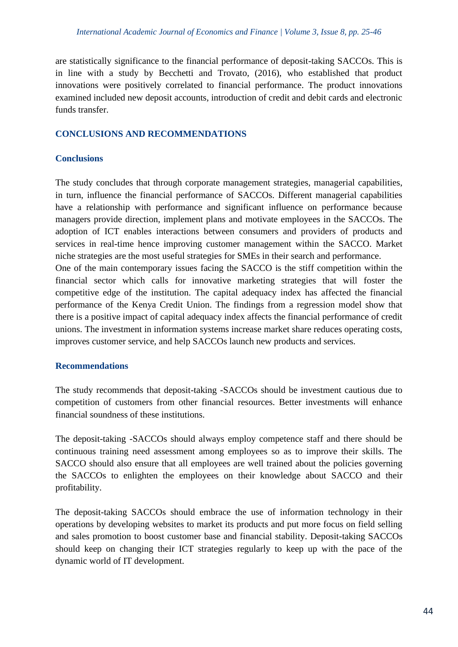are statistically significance to the financial performance of deposit-taking SACCOs. This is in line with a study by Becchetti and Trovato, (2016), who established that product innovations were positively correlated to financial performance. The product innovations examined included new deposit accounts, introduction of credit and debit cards and electronic funds transfer.

# **CONCLUSIONS AND RECOMMENDATIONS**

## **Conclusions**

The study concludes that through corporate management strategies, managerial capabilities, in turn, influence the financial performance of SACCOs. Different managerial capabilities have a relationship with performance and significant influence on performance because managers provide direction, implement plans and motivate employees in the SACCOs. The adoption of ICT enables interactions between consumers and providers of products and services in real-time hence improving customer management within the SACCO. Market niche strategies are the most useful strategies for SMEs in their search and performance.

One of the main contemporary issues facing the SACCO is the stiff competition within the financial sector which calls for innovative marketing strategies that will foster the competitive edge of the institution. The capital adequacy index has affected the financial performance of the Kenya Credit Union. The findings from a regression model show that there is a positive impact of capital adequacy index affects the financial performance of credit unions. The investment in information systems increase market share reduces operating costs, improves customer service, and help SACCOs launch new products and services.

# **Recommendations**

The study recommends that deposit-taking -SACCOs should be investment cautious due to competition of customers from other financial resources. Better investments will enhance financial soundness of these institutions.

The deposit-taking -SACCOs should always employ competence staff and there should be continuous training need assessment among employees so as to improve their skills. The SACCO should also ensure that all employees are well trained about the policies governing the SACCOs to enlighten the employees on their knowledge about SACCO and their profitability.

The deposit-taking SACCOs should embrace the use of information technology in their operations by developing websites to market its products and put more focus on field selling and sales promotion to boost customer base and financial stability. Deposit-taking SACCOs should keep on changing their ICT strategies regularly to keep up with the pace of the dynamic world of IT development.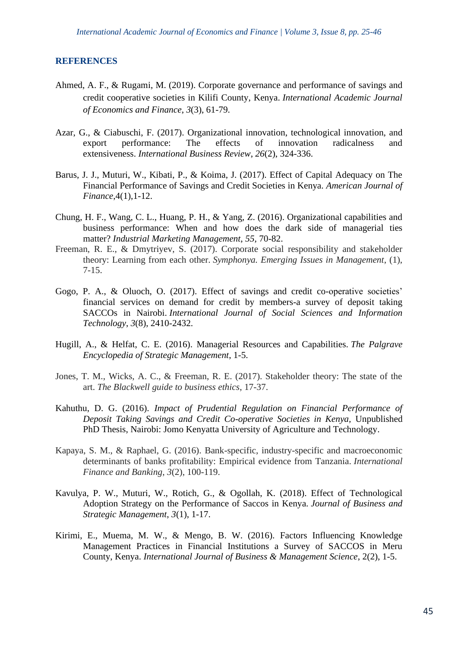#### **REFERENCES**

- Ahmed, A. F., & Rugami, M. (2019). Corporate governance and performance of savings and credit cooperative societies in Kilifi County, Kenya. *International Academic Journal of Economics and Finance*, *3*(3), 61-79.
- Azar, G., & Ciabuschi, F. (2017). Organizational innovation, technological innovation, and export performance: The effects of innovation radicalness and extensiveness. *International Business Review*, *26*(2), 324-336.
- Barus, J. J., Muturi, W., Kibati, P., & Koima, J. (2017). Effect of Capital Adequacy on The Financial Performance of Savings and Credit Societies in Kenya. *American Journal of Finance*,4(1),1-12.
- Chung, H. F., Wang, C. L., Huang, P. H., & Yang, Z. (2016). Organizational capabilities and business performance: When and how does the dark side of managerial ties matter? *Industrial Marketing Management*, *55*, 70-82.
- Freeman, R. E., & Dmytriyev, S. (2017). Corporate social responsibility and stakeholder theory: Learning from each other. *Symphonya. Emerging Issues in Management*, (1), 7-15.
- Gogo, P. A., & Oluoch, O. (2017). Effect of savings and credit co-operative societies' financial services on demand for credit by members-a survey of deposit taking SACCOs in Nairobi. *International Journal of Social Sciences and Information Technology*, *3*(8), 2410-2432.
- Hugill, A., & Helfat, C. E. (2016). Managerial Resources and Capabilities. *The Palgrave Encyclopedia of Strategic Management*, 1-5.
- Jones, T. M., Wicks, A. C., & Freeman, R. E. (2017). Stakeholder theory: The state of the art. *The Blackwell guide to business ethics*, 17-37.
- Kahuthu, D. G. (2016). *Impact of Prudential Regulation on Financial Performance of Deposit Taking Savings and Credit Co-operative Societies in Kenya,* Unpublished PhD Thesis, Nairobi: Jomo Kenyatta University of Agriculture and Technology.
- Kapaya, S. M., & Raphael, G. (2016). Bank-specific, industry-specific and macroeconomic determinants of banks profitability: Empirical evidence from Tanzania. *International Finance and Banking*, *3*(2), 100-119.
- Kavulya, P. W., Muturi, W., Rotich, G., & Ogollah, K. (2018). Effect of Technological Adoption Strategy on the Performance of Saccos in Kenya. *Journal of Business and Strategic Management*, *3*(1), 1-17.
- Kirimi, E., Muema, M. W., & Mengo, B. W. (2016). Factors Influencing Knowledge Management Practices in Financial Institutions a Survey of SACCOS in Meru County, Kenya. *International Journal of Business & Management Science*, 2(2), 1-5.